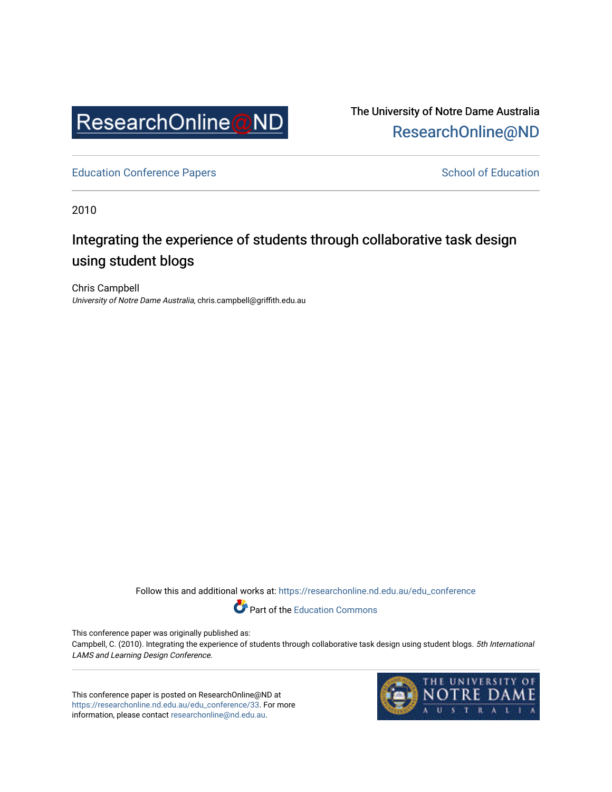

The University of Notre Dame Australia [ResearchOnline@ND](https://researchonline.nd.edu.au/) 

[Education Conference Papers](https://researchonline.nd.edu.au/edu_conference) **School of Education** School of Education

2010

## Integrating the experience of students through collaborative task design using student blogs

Chris Campbell University of Notre Dame Australia, chris.campbell@griffith.edu.au

Follow this and additional works at: [https://researchonline.nd.edu.au/edu\\_conference](https://researchonline.nd.edu.au/edu_conference?utm_source=researchonline.nd.edu.au%2Fedu_conference%2F33&utm_medium=PDF&utm_campaign=PDFCoverPages)

Part of the [Education Commons](http://network.bepress.com/hgg/discipline/784?utm_source=researchonline.nd.edu.au%2Fedu_conference%2F33&utm_medium=PDF&utm_campaign=PDFCoverPages) 

This conference paper was originally published as:

Campbell, C. (2010). Integrating the experience of students through collaborative task design using student blogs. 5th International LAMS and Learning Design Conference.

This conference paper is posted on ResearchOnline@ND at [https://researchonline.nd.edu.au/edu\\_conference/33.](https://researchonline.nd.edu.au/edu_conference/33) For more information, please contact [researchonline@nd.edu.au.](mailto:researchonline@nd.edu.au)

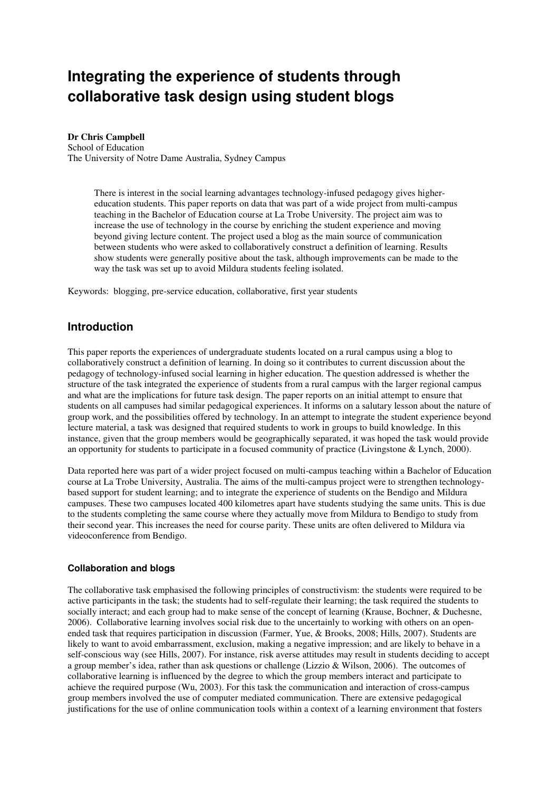# **Integrating the experience of students through collaborative task design using student blogs**

**Dr Chris Campbell** 

School of Education The University of Notre Dame Australia, Sydney Campus

> There is interest in the social learning advantages technology-infused pedagogy gives highereducation students. This paper reports on data that was part of a wide project from multi-campus teaching in the Bachelor of Education course at La Trobe University. The project aim was to increase the use of technology in the course by enriching the student experience and moving beyond giving lecture content. The project used a blog as the main source of communication between students who were asked to collaboratively construct a definition of learning. Results show students were generally positive about the task, although improvements can be made to the way the task was set up to avoid Mildura students feeling isolated.

Keywords: blogging, pre-service education, collaborative, first year students

## **Introduction**

This paper reports the experiences of undergraduate students located on a rural campus using a blog to collaboratively construct a definition of learning. In doing so it contributes to current discussion about the pedagogy of technology-infused social learning in higher education. The question addressed is whether the structure of the task integrated the experience of students from a rural campus with the larger regional campus and what are the implications for future task design. The paper reports on an initial attempt to ensure that students on all campuses had similar pedagogical experiences. It informs on a salutary lesson about the nature of group work, and the possibilities offered by technology. In an attempt to integrate the student experience beyond lecture material, a task was designed that required students to work in groups to build knowledge. In this instance, given that the group members would be geographically separated, it was hoped the task would provide an opportunity for students to participate in a focused community of practice (Livingstone & Lynch, 2000).

Data reported here was part of a wider project focused on multi-campus teaching within a Bachelor of Education course at La Trobe University, Australia. The aims of the multi-campus project were to strengthen technologybased support for student learning; and to integrate the experience of students on the Bendigo and Mildura campuses. These two campuses located 400 kilometres apart have students studying the same units. This is due to the students completing the same course where they actually move from Mildura to Bendigo to study from their second year. This increases the need for course parity. These units are often delivered to Mildura via videoconference from Bendigo.

#### **Collaboration and blogs**

The collaborative task emphasised the following principles of constructivism: the students were required to be active participants in the task; the students had to self-regulate their learning; the task required the students to socially interact; and each group had to make sense of the concept of learning (Krause, Bochner, & Duchesne, 2006). Collaborative learning involves social risk due to the uncertainly to working with others on an openended task that requires participation in discussion (Farmer, Yue, & Brooks, 2008; Hills, 2007). Students are likely to want to avoid embarrassment, exclusion, making a negative impression; and are likely to behave in a self-conscious way (see Hills, 2007). For instance, risk averse attitudes may result in students deciding to accept a group member's idea, rather than ask questions or challenge (Lizzio & Wilson, 2006). The outcomes of collaborative learning is influenced by the degree to which the group members interact and participate to achieve the required purpose (Wu, 2003). For this task the communication and interaction of cross-campus group members involved the use of computer mediated communication. There are extensive pedagogical justifications for the use of online communication tools within a context of a learning environment that fosters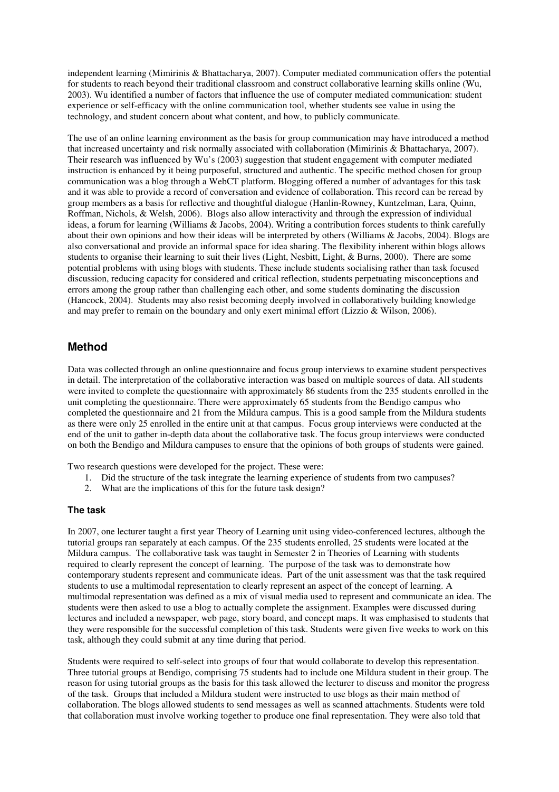independent learning (Mimirinis & Bhattacharya, 2007). Computer mediated communication offers the potential for students to reach beyond their traditional classroom and construct collaborative learning skills online (Wu, 2003). Wu identified a number of factors that influence the use of computer mediated communication: student experience or self-efficacy with the online communication tool, whether students see value in using the technology, and student concern about what content, and how, to publicly communicate.

The use of an online learning environment as the basis for group communication may have introduced a method that increased uncertainty and risk normally associated with collaboration (Mimirinis & Bhattacharya, 2007). Their research was influenced by Wu's (2003) suggestion that student engagement with computer mediated instruction is enhanced by it being purposeful, structured and authentic. The specific method chosen for group communication was a blog through a WebCT platform. Blogging offered a number of advantages for this task and it was able to provide a record of conversation and evidence of collaboration. This record can be reread by group members as a basis for reflective and thoughtful dialogue (Hanlin-Rowney, Kuntzelman, Lara, Quinn, Roffman, Nichols, & Welsh, 2006). Blogs also allow interactivity and through the expression of individual ideas, a forum for learning (Williams & Jacobs, 2004). Writing a contribution forces students to think carefully about their own opinions and how their ideas will be interpreted by others (Williams & Jacobs, 2004). Blogs are also conversational and provide an informal space for idea sharing. The flexibility inherent within blogs allows students to organise their learning to suit their lives (Light, Nesbitt, Light, & Burns, 2000). There are some potential problems with using blogs with students. These include students socialising rather than task focused discussion, reducing capacity for considered and critical reflection, students perpetuating misconceptions and errors among the group rather than challenging each other, and some students dominating the discussion (Hancock, 2004). Students may also resist becoming deeply involved in collaboratively building knowledge and may prefer to remain on the boundary and only exert minimal effort (Lizzio & Wilson, 2006).

## **Method**

Data was collected through an online questionnaire and focus group interviews to examine student perspectives in detail. The interpretation of the collaborative interaction was based on multiple sources of data. All students were invited to complete the questionnaire with approximately 86 students from the 235 students enrolled in the unit completing the questionnaire. There were approximately 65 students from the Bendigo campus who completed the questionnaire and 21 from the Mildura campus. This is a good sample from the Mildura students as there were only 25 enrolled in the entire unit at that campus. Focus group interviews were conducted at the end of the unit to gather in-depth data about the collaborative task. The focus group interviews were conducted on both the Bendigo and Mildura campuses to ensure that the opinions of both groups of students were gained.

Two research questions were developed for the project. These were:

- 1. Did the structure of the task integrate the learning experience of students from two campuses?
- 2. What are the implications of this for the future task design?

#### **The task**

In 2007, one lecturer taught a first year Theory of Learning unit using video-conferenced lectures, although the tutorial groups ran separately at each campus. Of the 235 students enrolled, 25 students were located at the Mildura campus. The collaborative task was taught in Semester 2 in Theories of Learning with students required to clearly represent the concept of learning. The purpose of the task was to demonstrate how contemporary students represent and communicate ideas. Part of the unit assessment was that the task required students to use a multimodal representation to clearly represent an aspect of the concept of learning. A multimodal representation was defined as a mix of visual media used to represent and communicate an idea. The students were then asked to use a blog to actually complete the assignment. Examples were discussed during lectures and included a newspaper, web page, story board, and concept maps. It was emphasised to students that they were responsible for the successful completion of this task. Students were given five weeks to work on this task, although they could submit at any time during that period.

Students were required to self-select into groups of four that would collaborate to develop this representation. Three tutorial groups at Bendigo, comprising 75 students had to include one Mildura student in their group. The reason for using tutorial groups as the basis for this task allowed the lecturer to discuss and monitor the progress of the task. Groups that included a Mildura student were instructed to use blogs as their main method of collaboration. The blogs allowed students to send messages as well as scanned attachments. Students were told that collaboration must involve working together to produce one final representation. They were also told that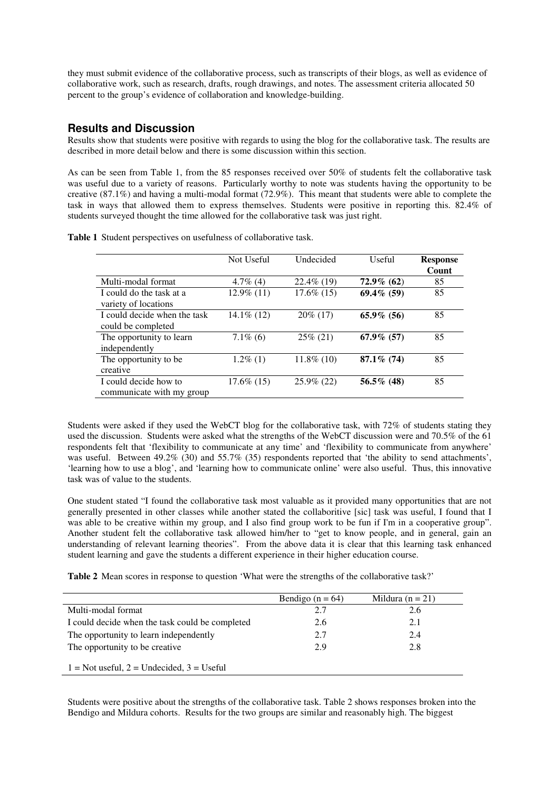they must submit evidence of the collaborative process, such as transcripts of their blogs, as well as evidence of collaborative work, such as research, drafts, rough drawings, and notes. The assessment criteria allocated 50 percent to the group's evidence of collaboration and knowledge-building.

### **Results and Discussion**

Results show that students were positive with regards to using the blog for the collaborative task. The results are described in more detail below and there is some discussion within this section.

As can be seen from Table 1, from the 85 responses received over 50% of students felt the collaborative task was useful due to a variety of reasons. Particularly worthy to note was students having the opportunity to be creative (87.1%) and having a multi-modal format (72.9%). This meant that students were able to complete the task in ways that allowed them to express themselves. Students were positive in reporting this. 82.4% of students surveyed thought the time allowed for the collaborative task was just right.

|  |  |  |  | Table 1 Student perspectives on usefulness of collaborative task. |  |
|--|--|--|--|-------------------------------------------------------------------|--|
|--|--|--|--|-------------------------------------------------------------------|--|

|                              | Not Useful    | Undecided     | Useful        | <b>Response</b><br>Count |
|------------------------------|---------------|---------------|---------------|--------------------------|
| Multi-modal format           | $4.7\%$ (4)   | $22.4\%$ (19) | $72.9\%$ (62) | 85                       |
| I could do the task at a     | $12.9\%$ (11) | $17.6\%$ (15) | 69.4% (59)    | 85                       |
| variety of locations         |               |               |               |                          |
| I could decide when the task | $14.1\%$ (12) | $20\%$ (17)   | $65.9\%$ (56) | 85                       |
| could be completed           |               |               |               |                          |
| The opportunity to learn     | $7.1\%$ (6)   | $25\% (21)$   | $67.9\%$ (57) | 85                       |
| independently                |               |               |               |                          |
| The opportunity to be        | $1.2\%$ (1)   | $11.8\%$ (10) | 87.1% (74)    | 85                       |
| creative                     |               |               |               |                          |
| I could decide how to        | 17.6% (15)    | $25.9\%$ (22) | $56.5\%$ (48) | 85                       |
| communicate with my group    |               |               |               |                          |

Students were asked if they used the WebCT blog for the collaborative task, with 72% of students stating they used the discussion. Students were asked what the strengths of the WebCT discussion were and 70.5% of the 61 respondents felt that 'flexibility to communicate at any time' and 'flexibility to communicate from anywhere' was useful. Between 49.2% (30) and 55.7% (35) respondents reported that 'the ability to send attachments', 'learning how to use a blog', and 'learning how to communicate online' were also useful. Thus, this innovative task was of value to the students.

One student stated "I found the collaborative task most valuable as it provided many opportunities that are not generally presented in other classes while another stated the collaboritive [sic] task was useful, I found that I was able to be creative within my group, and I also find group work to be fun if I'm in a cooperative group". Another student felt the collaborative task allowed him/her to "get to know people, and in general, gain an understanding of relevant learning theories". From the above data it is clear that this learning task enhanced student learning and gave the students a different experience in their higher education course.

**Table 2** Mean scores in response to question 'What were the strengths of the collaborative task?'

|                                                 | Bendigo ( $n = 64$ ) | Mildura ( $n = 21$ ) |
|-------------------------------------------------|----------------------|----------------------|
| Multi-modal format                              | 2.7                  | 2.6                  |
| I could decide when the task could be completed | 2.6                  | 2.1                  |
| The opportunity to learn independently          | 2.7                  | 2.4                  |
| The opportunity to be creative.                 | 2.9                  | 2.8                  |
| $1 =$ Not useful, $2 =$ Undecided, $3 =$ Useful |                      |                      |

Students were positive about the strengths of the collaborative task. Table 2 shows responses broken into the Bendigo and Mildura cohorts. Results for the two groups are similar and reasonably high. The biggest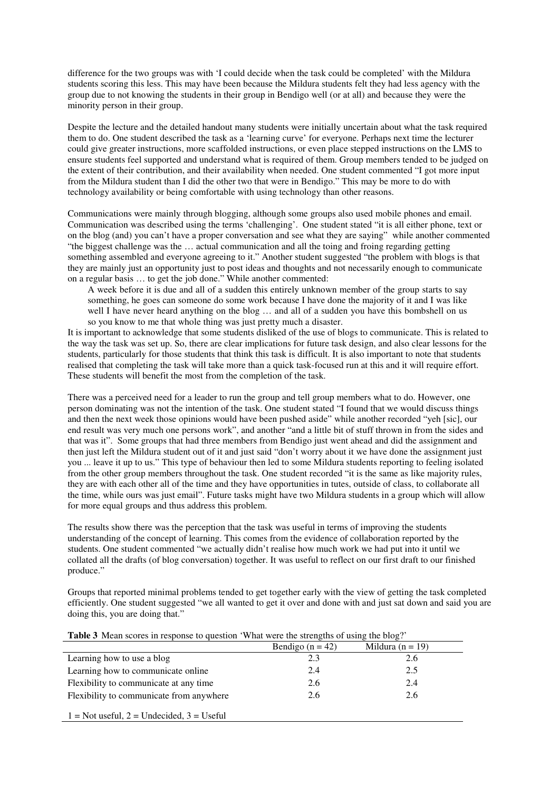difference for the two groups was with 'I could decide when the task could be completed' with the Mildura students scoring this less. This may have been because the Mildura students felt they had less agency with the group due to not knowing the students in their group in Bendigo well (or at all) and because they were the minority person in their group.

Despite the lecture and the detailed handout many students were initially uncertain about what the task required them to do. One student described the task as a 'learning curve' for everyone. Perhaps next time the lecturer could give greater instructions, more scaffolded instructions, or even place stepped instructions on the LMS to ensure students feel supported and understand what is required of them. Group members tended to be judged on the extent of their contribution, and their availability when needed. One student commented "I got more input from the Mildura student than I did the other two that were in Bendigo." This may be more to do with technology availability or being comfortable with using technology than other reasons.

Communications were mainly through blogging, although some groups also used mobile phones and email. Communication was described using the terms 'challenging'. One student stated "it is all either phone, text or on the blog (and) you can't have a proper conversation and see what they are saying" while another commented "the biggest challenge was the … actual communication and all the toing and froing regarding getting something assembled and everyone agreeing to it." Another student suggested "the problem with blogs is that they are mainly just an opportunity just to post ideas and thoughts and not necessarily enough to communicate on a regular basis … to get the job done." While another commented:

A week before it is due and all of a sudden this entirely unknown member of the group starts to say something, he goes can someone do some work because I have done the majority of it and I was like well I have never heard anything on the blog ... and all of a sudden you have this bombshell on us so you know to me that whole thing was just pretty much a disaster.

It is important to acknowledge that some students disliked of the use of blogs to communicate. This is related to the way the task was set up. So, there are clear implications for future task design, and also clear lessons for the students, particularly for those students that think this task is difficult. It is also important to note that students realised that completing the task will take more than a quick task-focused run at this and it will require effort. These students will benefit the most from the completion of the task.

There was a perceived need for a leader to run the group and tell group members what to do. However, one person dominating was not the intention of the task. One student stated "I found that we would discuss things and then the next week those opinions would have been pushed aside" while another recorded "yeh [sic], our end result was very much one persons work", and another "and a little bit of stuff thrown in from the sides and that was it". Some groups that had three members from Bendigo just went ahead and did the assignment and then just left the Mildura student out of it and just said "don't worry about it we have done the assignment just you ... leave it up to us." This type of behaviour then led to some Mildura students reporting to feeling isolated from the other group members throughout the task. One student recorded "it is the same as like majority rules, they are with each other all of the time and they have opportunities in tutes, outside of class, to collaborate all the time, while ours was just email". Future tasks might have two Mildura students in a group which will allow for more equal groups and thus address this problem.

The results show there was the perception that the task was useful in terms of improving the students understanding of the concept of learning. This comes from the evidence of collaboration reported by the students. One student commented "we actually didn't realise how much work we had put into it until we collated all the drafts (of blog conversation) together. It was useful to reflect on our first draft to our finished produce."

Groups that reported minimal problems tended to get together early with the view of getting the task completed efficiently. One student suggested "we all wanted to get it over and done with and just sat down and said you are doing this, you are doing that."

| <b>Table 3</b> Mean scores in response to question 'What were the strengths of using the blog?' |                    |                      |  |  |  |
|-------------------------------------------------------------------------------------------------|--------------------|----------------------|--|--|--|
|                                                                                                 | Bendigo $(n = 42)$ | Mildura ( $n = 19$ ) |  |  |  |
| Learning how to use a blog                                                                      | 2.3                | 2.6                  |  |  |  |
| Learning how to communicate online                                                              | 2.4                | 2.5                  |  |  |  |
| Flexibility to communicate at any time                                                          | 2.6                | 2.4                  |  |  |  |
| Flexibility to communicate from anywhere                                                        | 2.6                | 2.6                  |  |  |  |
| $1 =$ Not useful, $2 =$ Undecided, $3 =$ Useful                                                 |                    |                      |  |  |  |

#### **Table 3** Mean scores in response to question 'What were the strengths of using the blog?'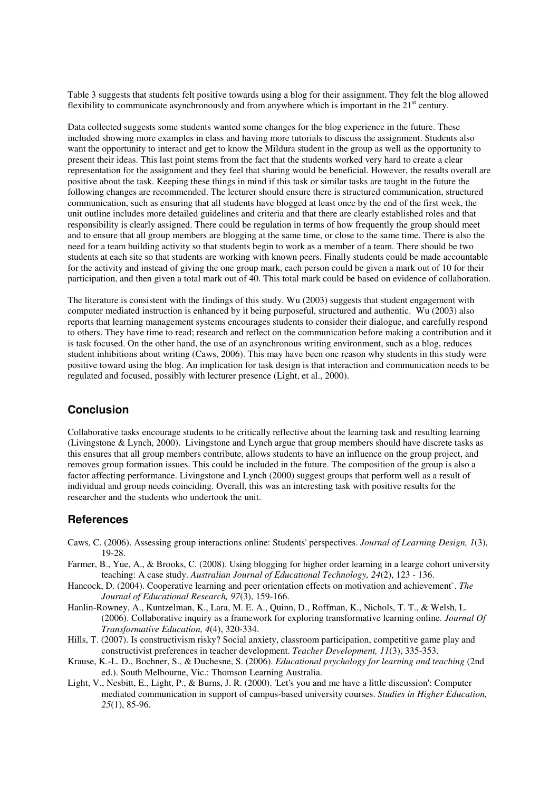Table 3 suggests that students felt positive towards using a blog for their assignment. They felt the blog allowed flexibility to communicate asynchronously and from anywhere which is important in the  $21<sup>st</sup>$  century.

Data collected suggests some students wanted some changes for the blog experience in the future. These included showing more examples in class and having more tutorials to discuss the assignment. Students also want the opportunity to interact and get to know the Mildura student in the group as well as the opportunity to present their ideas. This last point stems from the fact that the students worked very hard to create a clear representation for the assignment and they feel that sharing would be beneficial. However, the results overall are positive about the task. Keeping these things in mind if this task or similar tasks are taught in the future the following changes are recommended. The lecturer should ensure there is structured communication, structured communication, such as ensuring that all students have blogged at least once by the end of the first week, the unit outline includes more detailed guidelines and criteria and that there are clearly established roles and that responsibility is clearly assigned. There could be regulation in terms of how frequently the group should meet and to ensure that all group members are blogging at the same time, or close to the same time. There is also the need for a team building activity so that students begin to work as a member of a team. There should be two students at each site so that students are working with known peers. Finally students could be made accountable for the activity and instead of giving the one group mark, each person could be given a mark out of 10 for their participation, and then given a total mark out of 40. This total mark could be based on evidence of collaboration.

The literature is consistent with the findings of this study. Wu (2003) suggests that student engagement with computer mediated instruction is enhanced by it being purposeful, structured and authentic. Wu (2003) also reports that learning management systems encourages students to consider their dialogue, and carefully respond to others. They have time to read; research and reflect on the communication before making a contribution and it is task focused. On the other hand, the use of an asynchronous writing environment, such as a blog, reduces student inhibitions about writing (Caws, 2006). This may have been one reason why students in this study were positive toward using the blog. An implication for task design is that interaction and communication needs to be regulated and focused, possibly with lecturer presence (Light, et al., 2000).

#### **Conclusion**

Collaborative tasks encourage students to be critically reflective about the learning task and resulting learning (Livingstone & Lynch, 2000). Livingstone and Lynch argue that group members should have discrete tasks as this ensures that all group members contribute, allows students to have an influence on the group project, and removes group formation issues. This could be included in the future. The composition of the group is also a factor affecting performance. Livingstone and Lynch (2000) suggest groups that perform well as a result of individual and group needs coinciding. Overall, this was an interesting task with positive results for the researcher and the students who undertook the unit.

#### **References**

- Caws, C. (2006). Assessing group interactions online: Students' perspectives. *Journal of Learning Design, 1*(3), 19-28.
- Farmer, B., Yue, A., & Brooks, C. (2008). Using blogging for higher order learning in a learge cohort university teaching: A case study. *Australian Journal of Educational Technology, 24*(2), 123 - 136.
- Hancock, D. (2004). Cooperative learning and peer orientation effects on motivation and achievement`. *The Journal of Educational Research, 97*(3), 159-166.
- Hanlin-Rowney, A., Kuntzelman, K., Lara, M. E. A., Quinn, D., Roffman, K., Nichols, T. T., & Welsh, L. (2006). Collaborative inquiry as a framework for exploring transformative learning online. *Journal Of Transformative Education, 4*(4), 320-334.
- Hills, T. (2007). Is constructivism risky? Social anxiety, classroom participation, competitive game play and constructivist preferences in teacher development. *Teacher Development, 11*(3), 335-353.
- Krause, K.-L. D., Bochner, S., & Duchesne, S. (2006). *Educational psychology for learning and teaching* (2nd ed.). South Melbourne, Vic.: Thomson Learning Australia.
- Light, V., Nesbitt, E., Light, P., & Burns, J. R. (2000). 'Let's you and me have a little discussion': Computer mediated communication in support of campus-based university courses. *Studies in Higher Education, 25*(1), 85-96.